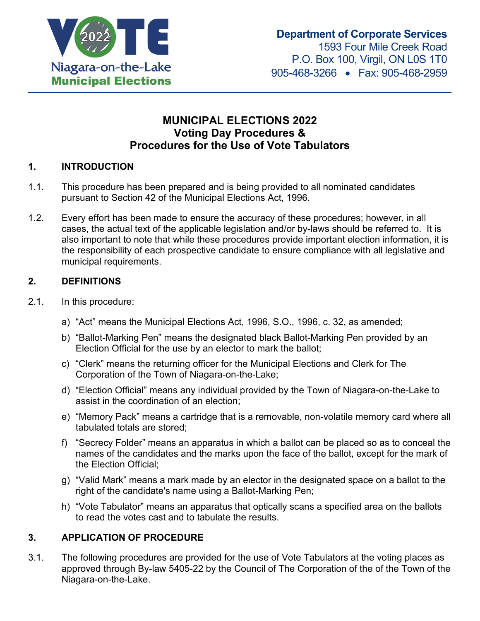

# **MUNICIPAL ELECTIONS 2022 Voting Day Procedures & Procedures for the Use of Vote Tabulators**

## **1. INTRODUCTION**

- 1.1. This procedure has been prepared and is being provided to all nominated candidates pursuant to Section 42 of the Municipal Elections Act, 1996.
- 1.2. Every effort has been made to ensure the accuracy of these procedures; however, in all cases, the actual text of the applicable legislation and/or by-laws should be referred to. It is also important to note that while these procedures provide important election information, it is the responsibility of each prospective candidate to ensure compliance with all legislative and municipal requirements.

#### **2. DEFINITIONS**

- 2.1. In this procedure:
	- a) "Act" means the Municipal Elections Act, 1996, S.O., 1996, c. 32, as amended;
	- b) "Ballot-Marking Pen" means the designated black Ballot-Marking Pen provided by an Election Official for the use by an elector to mark the ballot;
	- c) "Clerk" means the returning officer for the Municipal Elections and Clerk for The Corporation of the Town of Niagara-on-the-Lake;
	- d) "Election Official" means any individual provided by the Town of Niagara-on-the-Lake to assist in the coordination of an election;
	- e) "Memory Pack" means a cartridge that is a removable, non-volatile memory card where all tabulated totals are stored;
	- f) "Secrecy Folder" means an apparatus in which a ballot can be placed so as to conceal the names of the candidates and the marks upon the face of the ballot, except for the mark of the Election Official;
	- g) "Valid Mark" means a mark made by an elector in the designated space on a ballot to the right of the candidate's name using a Ballot-Marking Pen;
	- h) "Vote Tabulator" means an apparatus that optically scans a specified area on the ballots to read the votes cast and to tabulate the results.

## **3. APPLICATION OF PROCEDURE**

3.1. The following procedures are provided for the use of Vote Tabulators at the voting places as approved through By-law 5405-22 by the Council of The Corporation of the of the Town of the Niagara-on-the-Lake.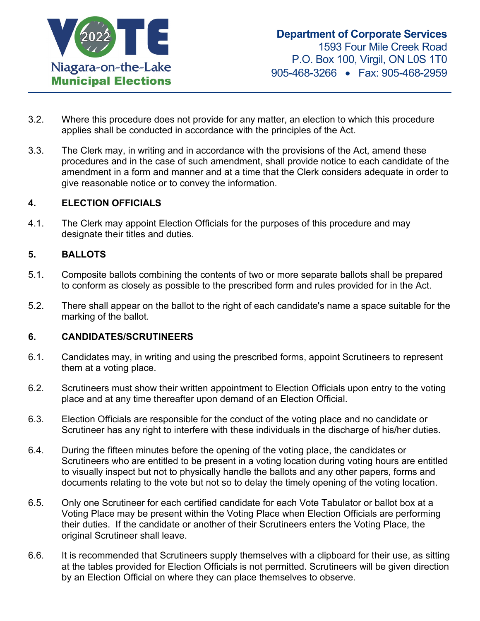

- 3.2. Where this procedure does not provide for any matter, an election to which this procedure applies shall be conducted in accordance with the principles of the Act.
- 3.3. The Clerk may, in writing and in accordance with the provisions of the Act, amend these procedures and in the case of such amendment, shall provide notice to each candidate of the amendment in a form and manner and at a time that the Clerk considers adequate in order to give reasonable notice or to convey the information.

#### **4. ELECTION OFFICIALS**

4.1. The Clerk may appoint Election Officials for the purposes of this procedure and may designate their titles and duties.

#### **5. BALLOTS**

- 5.1. Composite ballots combining the contents of two or more separate ballots shall be prepared to conform as closely as possible to the prescribed form and rules provided for in the Act.
- 5.2. There shall appear on the ballot to the right of each candidate's name a space suitable for the marking of the ballot.

#### **6. CANDIDATES/SCRUTINEERS**

- 6.1. Candidates may, in writing and using the prescribed forms, appoint Scrutineers to represent them at a voting place.
- 6.2. Scrutineers must show their written appointment to Election Officials upon entry to the voting place and at any time thereafter upon demand of an Election Official.
- 6.3. Election Officials are responsible for the conduct of the voting place and no candidate or Scrutineer has any right to interfere with these individuals in the discharge of his/her duties.
- 6.4. During the fifteen minutes before the opening of the voting place, the candidates or Scrutineers who are entitled to be present in a voting location during voting hours are entitled to visually inspect but not to physically handle the ballots and any other papers, forms and documents relating to the vote but not so to delay the timely opening of the voting location.
- 6.5. Only one Scrutineer for each certified candidate for each Vote Tabulator or ballot box at a Voting Place may be present within the Voting Place when Election Officials are performing their duties. If the candidate or another of their Scrutineers enters the Voting Place, the original Scrutineer shall leave.
- 6.6. It is recommended that Scrutineers supply themselves with a clipboard for their use, as sitting at the tables provided for Election Officials is not permitted. Scrutineers will be given direction by an Election Official on where they can place themselves to observe.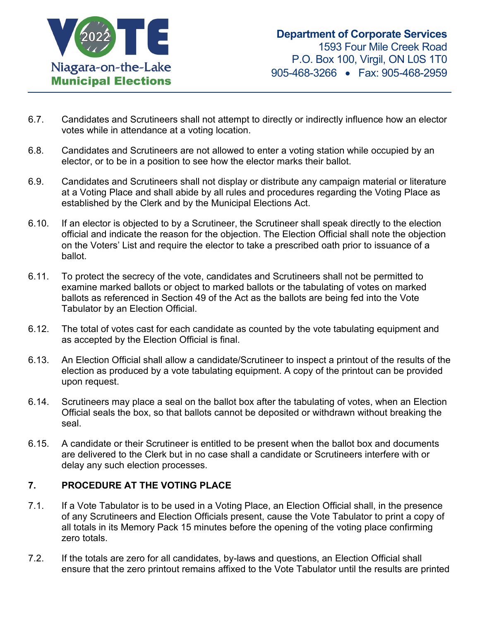

- 6.7. Candidates and Scrutineers shall not attempt to directly or indirectly influence how an elector votes while in attendance at a voting location.
- 6.8. Candidates and Scrutineers are not allowed to enter a voting station while occupied by an elector, or to be in a position to see how the elector marks their ballot.
- 6.9. Candidates and Scrutineers shall not display or distribute any campaign material or literature at a Voting Place and shall abide by all rules and procedures regarding the Voting Place as established by the Clerk and by the Municipal Elections Act.
- 6.10. If an elector is objected to by a Scrutineer, the Scrutineer shall speak directly to the election official and indicate the reason for the objection. The Election Official shall note the objection on the Voters' List and require the elector to take a prescribed oath prior to issuance of a ballot.
- 6.11. To protect the secrecy of the vote, candidates and Scrutineers shall not be permitted to examine marked ballots or object to marked ballots or the tabulating of votes on marked ballots as referenced in Section 49 of the Act as the ballots are being fed into the Vote Tabulator by an Election Official.
- 6.12. The total of votes cast for each candidate as counted by the vote tabulating equipment and as accepted by the Election Official is final.
- 6.13. An Election Official shall allow a candidate/Scrutineer to inspect a printout of the results of the election as produced by a vote tabulating equipment. A copy of the printout can be provided upon request.
- 6.14. Scrutineers may place a seal on the ballot box after the tabulating of votes, when an Election Official seals the box, so that ballots cannot be deposited or withdrawn without breaking the seal.
- 6.15. A candidate or their Scrutineer is entitled to be present when the ballot box and documents are delivered to the Clerk but in no case shall a candidate or Scrutineers interfere with or delay any such election processes.

## **7. PROCEDURE AT THE VOTING PLACE**

- 7.1. If a Vote Tabulator is to be used in a Voting Place, an Election Official shall, in the presence of any Scrutineers and Election Officials present, cause the Vote Tabulator to print a copy of all totals in its Memory Pack 15 minutes before the opening of the voting place confirming zero totals.
- 7.2. If the totals are zero for all candidates, by-laws and questions, an Election Official shall ensure that the zero printout remains affixed to the Vote Tabulator until the results are printed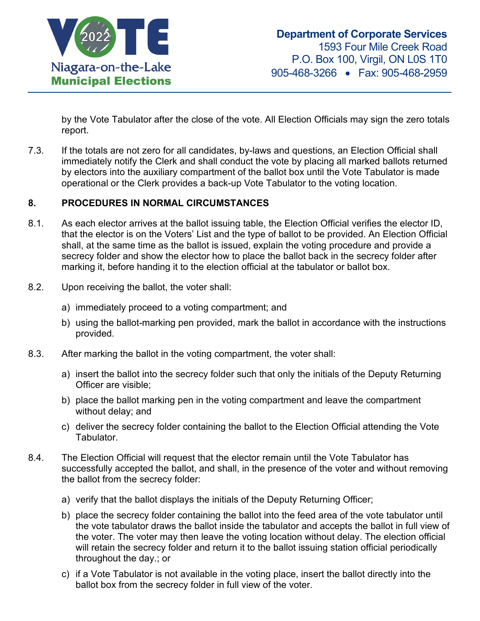

by the Vote Tabulator after the close of the vote. All Election Officials may sign the zero totals report.

7.3. If the totals are not zero for all candidates, by-laws and questions, an Election Official shall immediately notify the Clerk and shall conduct the vote by placing all marked ballots returned by electors into the auxiliary compartment of the ballot box until the Vote Tabulator is made operational or the Clerk provides a back-up Vote Tabulator to the voting location.

#### **8. PROCEDURES IN NORMAL CIRCUMSTANCES**

- 8.1. As each elector arrives at the ballot issuing table, the Election Official verifies the elector ID, that the elector is on the Voters' List and the type of ballot to be provided. An Election Official shall, at the same time as the ballot is issued, explain the voting procedure and provide a secrecy folder and show the elector how to place the ballot back in the secrecy folder after marking it, before handing it to the election official at the tabulator or ballot box.
- 8.2. Upon receiving the ballot, the voter shall:
	- a) immediately proceed to a voting compartment; and
	- b) using the ballot-marking pen provided, mark the ballot in accordance with the instructions provided.
- 8.3. After marking the ballot in the voting compartment, the voter shall:
	- a) insert the ballot into the secrecy folder such that only the initials of the Deputy Returning Officer are visible;
	- b) place the ballot marking pen in the voting compartment and leave the compartment without delay; and
	- c) deliver the secrecy folder containing the ballot to the Election Official attending the Vote Tabulator.
- 8.4. The Election Official will request that the elector remain until the Vote Tabulator has successfully accepted the ballot, and shall, in the presence of the voter and without removing the ballot from the secrecy folder:
	- a) verify that the ballot displays the initials of the Deputy Returning Officer;
	- b) place the secrecy folder containing the ballot into the feed area of the vote tabulator until the vote tabulator draws the ballot inside the tabulator and accepts the ballot in full view of the voter. The voter may then leave the voting location without delay. The election official will retain the secrecy folder and return it to the ballot issuing station official periodically throughout the day.; or
	- c) if a Vote Tabulator is not available in the voting place, insert the ballot directly into the ballot box from the secrecy folder in full view of the voter.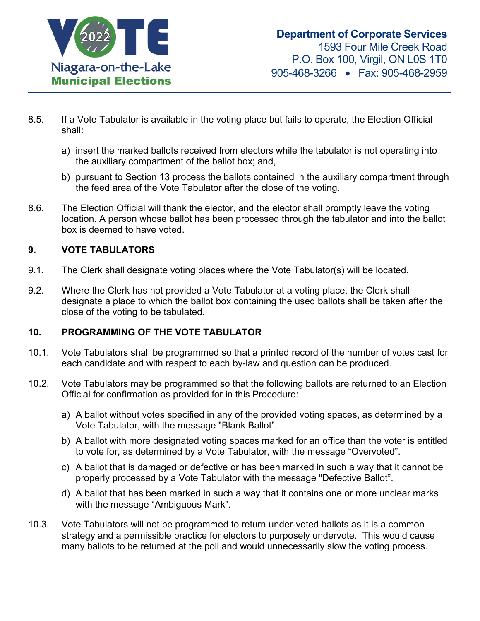

- 8.5. If a Vote Tabulator is available in the voting place but fails to operate, the Election Official shall:
	- a) insert the marked ballots received from electors while the tabulator is not operating into the auxiliary compartment of the ballot box; and,
	- b) pursuant to Section 13 process the ballots contained in the auxiliary compartment through the feed area of the Vote Tabulator after the close of the voting.
- 8.6. The Election Official will thank the elector, and the elector shall promptly leave the voting location. A person whose ballot has been processed through the tabulator and into the ballot box is deemed to have voted.

# **9. VOTE TABULATORS**

- 9.1. The Clerk shall designate voting places where the Vote Tabulator(s) will be located.
- 9.2. Where the Clerk has not provided a Vote Tabulator at a voting place, the Clerk shall designate a place to which the ballot box containing the used ballots shall be taken after the close of the voting to be tabulated.

## **10. PROGRAMMING OF THE VOTE TABULATOR**

- 10.1. Vote Tabulators shall be programmed so that a printed record of the number of votes cast for each candidate and with respect to each by-law and question can be produced.
- 10.2. Vote Tabulators may be programmed so that the following ballots are returned to an Election Official for confirmation as provided for in this Procedure:
	- a) A ballot without votes specified in any of the provided voting spaces, as determined by a Vote Tabulator, with the message "Blank Ballot".
	- b) A ballot with more designated voting spaces marked for an office than the voter is entitled to vote for, as determined by a Vote Tabulator, with the message "Overvoted".
	- c) A ballot that is damaged or defective or has been marked in such a way that it cannot be properly processed by a Vote Tabulator with the message "Defective Ballot".
	- d) A ballot that has been marked in such a way that it contains one or more unclear marks with the message "Ambiguous Mark".
- 10.3. Vote Tabulators will not be programmed to return under-voted ballots as it is a common strategy and a permissible practice for electors to purposely undervote. This would cause many ballots to be returned at the poll and would unnecessarily slow the voting process.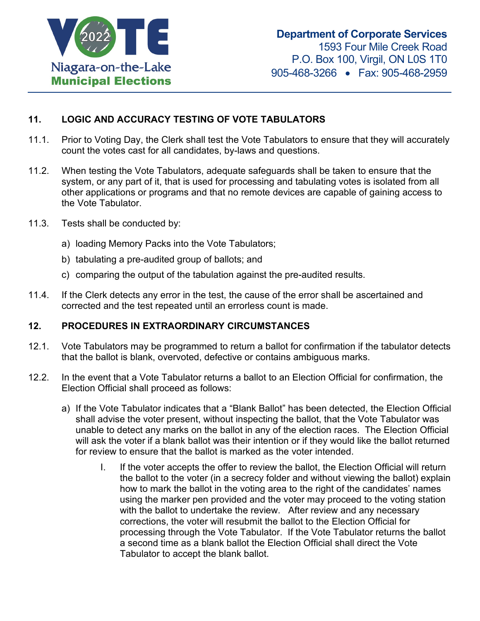

# **11. LOGIC AND ACCURACY TESTING OF VOTE TABULATORS**

- 11.1. Prior to Voting Day, the Clerk shall test the Vote Tabulators to ensure that they will accurately count the votes cast for all candidates, by-laws and questions.
- 11.2. When testing the Vote Tabulators, adequate safeguards shall be taken to ensure that the system, or any part of it, that is used for processing and tabulating votes is isolated from all other applications or programs and that no remote devices are capable of gaining access to the Vote Tabulator.
- 11.3. Tests shall be conducted by:
	- a) loading Memory Packs into the Vote Tabulators;
	- b) tabulating a pre-audited group of ballots; and
	- c) comparing the output of the tabulation against the pre-audited results.
- 11.4. If the Clerk detects any error in the test, the cause of the error shall be ascertained and corrected and the test repeated until an errorless count is made.

#### **12. PROCEDURES IN EXTRAORDINARY CIRCUMSTANCES**

- 12.1. Vote Tabulators may be programmed to return a ballot for confirmation if the tabulator detects that the ballot is blank, overvoted, defective or contains ambiguous marks.
- 12.2. In the event that a Vote Tabulator returns a ballot to an Election Official for confirmation, the Election Official shall proceed as follows:
	- a) If the Vote Tabulator indicates that a "Blank Ballot" has been detected, the Election Official shall advise the voter present, without inspecting the ballot, that the Vote Tabulator was unable to detect any marks on the ballot in any of the election races. The Election Official will ask the voter if a blank ballot was their intention or if they would like the ballot returned for review to ensure that the ballot is marked as the voter intended.
		- I. If the voter accepts the offer to review the ballot, the Election Official will return the ballot to the voter (in a secrecy folder and without viewing the ballot) explain how to mark the ballot in the voting area to the right of the candidates' names using the marker pen provided and the voter may proceed to the voting station with the ballot to undertake the review. After review and any necessary corrections, the voter will resubmit the ballot to the Election Official for processing through the Vote Tabulator. If the Vote Tabulator returns the ballot a second time as a blank ballot the Election Official shall direct the Vote Tabulator to accept the blank ballot.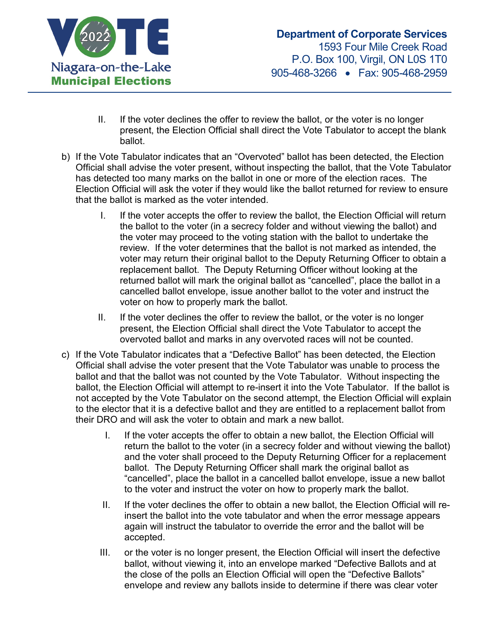

- II. If the voter declines the offer to review the ballot, or the voter is no longer present, the Election Official shall direct the Vote Tabulator to accept the blank ballot.
- b) If the Vote Tabulator indicates that an "Overvoted" ballot has been detected, the Election Official shall advise the voter present, without inspecting the ballot, that the Vote Tabulator has detected too many marks on the ballot in one or more of the election races. The Election Official will ask the voter if they would like the ballot returned for review to ensure that the ballot is marked as the voter intended.
	- I. If the voter accepts the offer to review the ballot, the Election Official will return the ballot to the voter (in a secrecy folder and without viewing the ballot) and the voter may proceed to the voting station with the ballot to undertake the review. If the voter determines that the ballot is not marked as intended, the voter may return their original ballot to the Deputy Returning Officer to obtain a replacement ballot. The Deputy Returning Officer without looking at the returned ballot will mark the original ballot as "cancelled", place the ballot in a cancelled ballot envelope, issue another ballot to the voter and instruct the voter on how to properly mark the ballot.
	- II. If the voter declines the offer to review the ballot, or the voter is no longer present, the Election Official shall direct the Vote Tabulator to accept the overvoted ballot and marks in any overvoted races will not be counted.
- c) If the Vote Tabulator indicates that a "Defective Ballot" has been detected, the Election Official shall advise the voter present that the Vote Tabulator was unable to process the ballot and that the ballot was not counted by the Vote Tabulator. Without inspecting the ballot, the Election Official will attempt to re-insert it into the Vote Tabulator. If the ballot is not accepted by the Vote Tabulator on the second attempt, the Election Official will explain to the elector that it is a defective ballot and they are entitled to a replacement ballot from their DRO and will ask the voter to obtain and mark a new ballot.
	- I. If the voter accepts the offer to obtain a new ballot, the Election Official will return the ballot to the voter (in a secrecy folder and without viewing the ballot) and the voter shall proceed to the Deputy Returning Officer for a replacement ballot. The Deputy Returning Officer shall mark the original ballot as "cancelled", place the ballot in a cancelled ballot envelope, issue a new ballot to the voter and instruct the voter on how to properly mark the ballot.
	- II. If the voter declines the offer to obtain a new ballot, the Election Official will reinsert the ballot into the vote tabulator and when the error message appears again will instruct the tabulator to override the error and the ballot will be accepted.
	- III. or the voter is no longer present, the Election Official will insert the defective ballot, without viewing it, into an envelope marked "Defective Ballots and at the close of the polls an Election Official will open the "Defective Ballots" envelope and review any ballots inside to determine if there was clear voter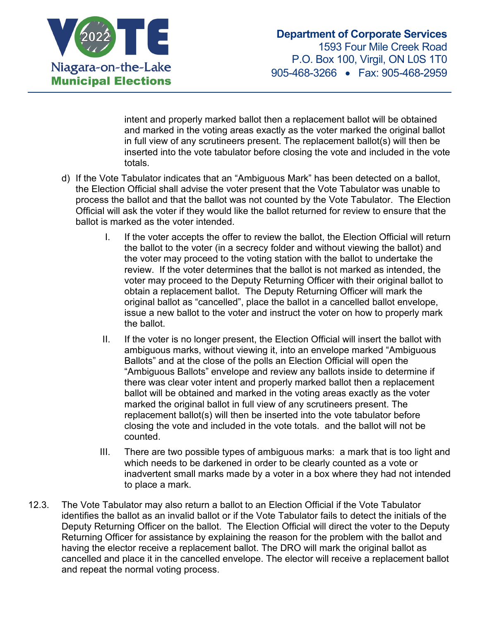

intent and properly marked ballot then a replacement ballot will be obtained and marked in the voting areas exactly as the voter marked the original ballot in full view of any scrutineers present. The replacement ballot(s) will then be inserted into the vote tabulator before closing the vote and included in the vote totals.

- d) If the Vote Tabulator indicates that an "Ambiguous Mark" has been detected on a ballot, the Election Official shall advise the voter present that the Vote Tabulator was unable to process the ballot and that the ballot was not counted by the Vote Tabulator. The Election Official will ask the voter if they would like the ballot returned for review to ensure that the ballot is marked as the voter intended.
	- I. If the voter accepts the offer to review the ballot, the Election Official will return the ballot to the voter (in a secrecy folder and without viewing the ballot) and the voter may proceed to the voting station with the ballot to undertake the review. If the voter determines that the ballot is not marked as intended, the voter may proceed to the Deputy Returning Officer with their original ballot to obtain a replacement ballot. The Deputy Returning Officer will mark the original ballot as "cancelled", place the ballot in a cancelled ballot envelope, issue a new ballot to the voter and instruct the voter on how to properly mark the ballot.
	- II. If the voter is no longer present, the Election Official will insert the ballot with ambiguous marks, without viewing it, into an envelope marked "Ambiguous Ballots" and at the close of the polls an Election Official will open the "Ambiguous Ballots" envelope and review any ballots inside to determine if there was clear voter intent and properly marked ballot then a replacement ballot will be obtained and marked in the voting areas exactly as the voter marked the original ballot in full view of any scrutineers present. The replacement ballot(s) will then be inserted into the vote tabulator before closing the vote and included in the vote totals. and the ballot will not be counted.
	- III. There are two possible types of ambiguous marks: a mark that is too light and which needs to be darkened in order to be clearly counted as a vote or inadvertent small marks made by a voter in a box where they had not intended to place a mark.
- 12.3. The Vote Tabulator may also return a ballot to an Election Official if the Vote Tabulator identifies the ballot as an invalid ballot or if the Vote Tabulator fails to detect the initials of the Deputy Returning Officer on the ballot. The Election Official will direct the voter to the Deputy Returning Officer for assistance by explaining the reason for the problem with the ballot and having the elector receive a replacement ballot. The DRO will mark the original ballot as cancelled and place it in the cancelled envelope. The elector will receive a replacement ballot and repeat the normal voting process.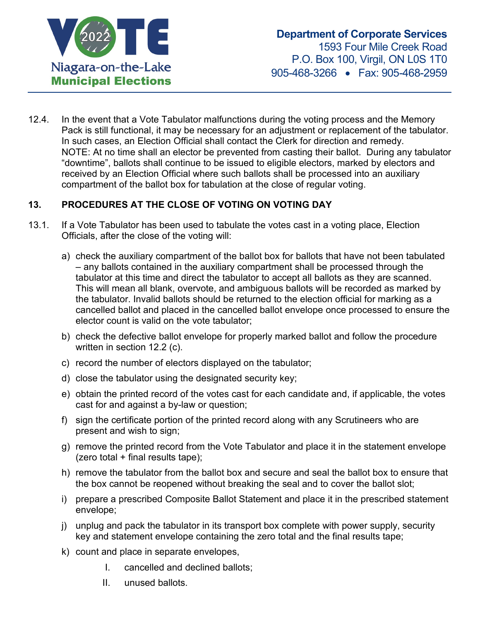

12.4. In the event that a Vote Tabulator malfunctions during the voting process and the Memory Pack is still functional, it may be necessary for an adjustment or replacement of the tabulator. In such cases, an Election Official shall contact the Clerk for direction and remedy. NOTE: At no time shall an elector be prevented from casting their ballot. During any tabulator "downtime", ballots shall continue to be issued to eligible electors, marked by electors and received by an Election Official where such ballots shall be processed into an auxiliary compartment of the ballot box for tabulation at the close of regular voting.

# **13. PROCEDURES AT THE CLOSE OF VOTING ON VOTING DAY**

- 13.1. If a Vote Tabulator has been used to tabulate the votes cast in a voting place, Election Officials, after the close of the voting will:
	- a) check the auxiliary compartment of the ballot box for ballots that have not been tabulated – any ballots contained in the auxiliary compartment shall be processed through the tabulator at this time and direct the tabulator to accept all ballots as they are scanned. This will mean all blank, overvote, and ambiguous ballots will be recorded as marked by the tabulator. Invalid ballots should be returned to the election official for marking as a cancelled ballot and placed in the cancelled ballot envelope once processed to ensure the elector count is valid on the vote tabulator;
	- b) check the defective ballot envelope for properly marked ballot and follow the procedure written in section 12.2 (c).
	- c) record the number of electors displayed on the tabulator;
	- d) close the tabulator using the designated security key;
	- e) obtain the printed record of the votes cast for each candidate and, if applicable, the votes cast for and against a by-law or question;
	- f) sign the certificate portion of the printed record along with any Scrutineers who are present and wish to sign;
	- g) remove the printed record from the Vote Tabulator and place it in the statement envelope (zero total  $+$  final results tape);
	- h) remove the tabulator from the ballot box and secure and seal the ballot box to ensure that the box cannot be reopened without breaking the seal and to cover the ballot slot;
	- i) prepare a prescribed Composite Ballot Statement and place it in the prescribed statement envelope;
	- j) unplug and pack the tabulator in its transport box complete with power supply, security key and statement envelope containing the zero total and the final results tape;
	- k) count and place in separate envelopes,
		- I. cancelled and declined ballots;
		- II. unused ballots.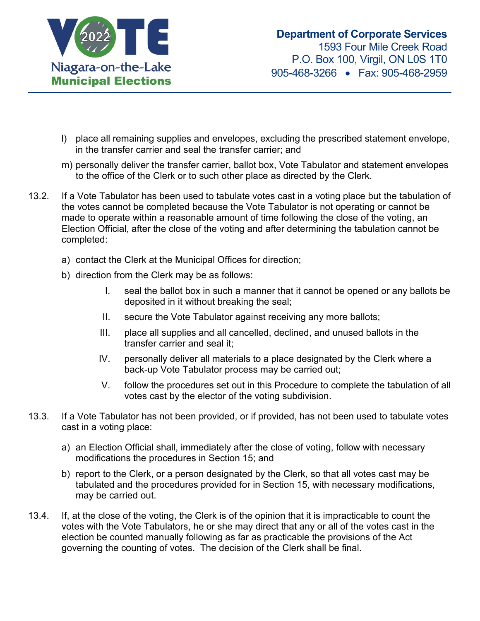

- l) place all remaining supplies and envelopes, excluding the prescribed statement envelope, in the transfer carrier and seal the transfer carrier; and
- m) personally deliver the transfer carrier, ballot box, Vote Tabulator and statement envelopes to the office of the Clerk or to such other place as directed by the Clerk.
- 13.2. If a Vote Tabulator has been used to tabulate votes cast in a voting place but the tabulation of the votes cannot be completed because the Vote Tabulator is not operating or cannot be made to operate within a reasonable amount of time following the close of the voting, an Election Official, after the close of the voting and after determining the tabulation cannot be completed:
	- a) contact the Clerk at the Municipal Offices for direction;
	- b) direction from the Clerk may be as follows:
		- I. seal the ballot box in such a manner that it cannot be opened or any ballots be deposited in it without breaking the seal;
		- II. secure the Vote Tabulator against receiving any more ballots;
		- III. place all supplies and all cancelled, declined, and unused ballots in the transfer carrier and seal it;
		- IV. personally deliver all materials to a place designated by the Clerk where a back-up Vote Tabulator process may be carried out;
		- V. follow the procedures set out in this Procedure to complete the tabulation of all votes cast by the elector of the voting subdivision.
- 13.3. If a Vote Tabulator has not been provided, or if provided, has not been used to tabulate votes cast in a voting place:
	- a) an Election Official shall, immediately after the close of voting, follow with necessary modifications the procedures in Section 15; and
	- b) report to the Clerk, or a person designated by the Clerk, so that all votes cast may be tabulated and the procedures provided for in Section 15, with necessary modifications, may be carried out.
- 13.4. If, at the close of the voting, the Clerk is of the opinion that it is impracticable to count the votes with the Vote Tabulators, he or she may direct that any or all of the votes cast in the election be counted manually following as far as practicable the provisions of the Act governing the counting of votes. The decision of the Clerk shall be final.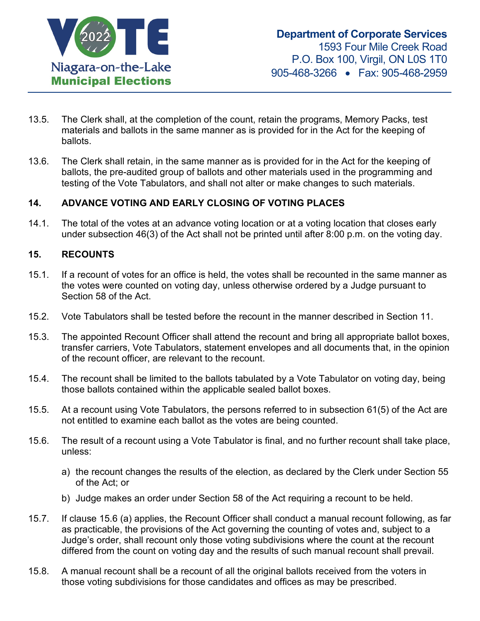

- 13.5. The Clerk shall, at the completion of the count, retain the programs, Memory Packs, test materials and ballots in the same manner as is provided for in the Act for the keeping of ballots.
- 13.6. The Clerk shall retain, in the same manner as is provided for in the Act for the keeping of ballots, the pre-audited group of ballots and other materials used in the programming and testing of the Vote Tabulators, and shall not alter or make changes to such materials.

## **14. ADVANCE VOTING AND EARLY CLOSING OF VOTING PLACES**

14.1. The total of the votes at an advance voting location or at a voting location that closes early under subsection 46(3) of the Act shall not be printed until after 8:00 p.m. on the voting day.

#### **15. RECOUNTS**

- 15.1. If a recount of votes for an office is held, the votes shall be recounted in the same manner as the votes were counted on voting day, unless otherwise ordered by a Judge pursuant to Section 58 of the Act.
- 15.2. Vote Tabulators shall be tested before the recount in the manner described in Section 11.
- 15.3. The appointed Recount Officer shall attend the recount and bring all appropriate ballot boxes, transfer carriers, Vote Tabulators, statement envelopes and all documents that, in the opinion of the recount officer, are relevant to the recount.
- 15.4. The recount shall be limited to the ballots tabulated by a Vote Tabulator on voting day, being those ballots contained within the applicable sealed ballot boxes.
- 15.5. At a recount using Vote Tabulators, the persons referred to in subsection 61(5) of the Act are not entitled to examine each ballot as the votes are being counted.
- 15.6. The result of a recount using a Vote Tabulator is final, and no further recount shall take place, unless:
	- a) the recount changes the results of the election, as declared by the Clerk under Section 55 of the Act; or
	- b) Judge makes an order under Section 58 of the Act requiring a recount to be held.
- 15.7. If clause 15.6 (a) applies, the Recount Officer shall conduct a manual recount following, as far as practicable, the provisions of the Act governing the counting of votes and, subject to a Judge's order, shall recount only those voting subdivisions where the count at the recount differed from the count on voting day and the results of such manual recount shall prevail.
- 15.8. A manual recount shall be a recount of all the original ballots received from the voters in those voting subdivisions for those candidates and offices as may be prescribed.